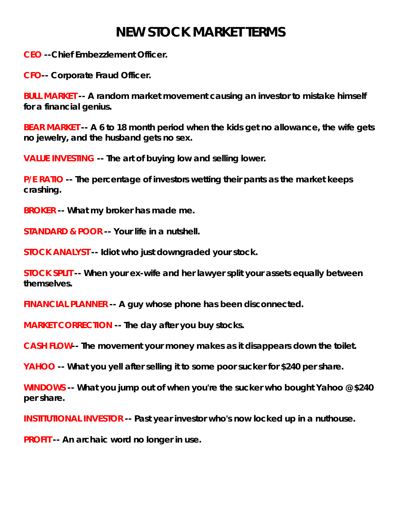## **NEW STOCK MARKET TERMS**

**CEO --Chief Embezzlement Officer.** 

**CFO-- Corporate Fraud Officer.** 

**BULL MARKET -- A random market movement causing an investor to mistake himself for a financial genius.** 

**BEAR MARKET -- A 6 to 18 month period when the kids get no allowance, the wife gets no jewelry, and the husband gets no sex.** 

**VALUE INVESTING -- The art of buying low and selling lower.** 

**P/E RATIO -- The percentage of investors wetting their pants as the market keeps crashing.** 

**BROKER -- What my broker has made me.** 

**STANDARD & POOR -- Your life in a nutshell.** 

**STOCK ANALYST -- Idiot who just downgraded your stock.** 

**STOCK SPLIT -- When your ex-wife and her lawyer split your assets equally between themselves.** 

**FINANCIAL PLANNER -- A guy whose phone has been disconnected.** 

**MARKET CORRECTION -- The day after you buy stocks.** 

**CASH FLOW-- The movement your money makes as it disappears down the toilet.** 

**YAHOO -- What you yell after selling it to some poor sucker for \$240 per share.** 

**WINDOWS -- What you jump out of when you're the sucker who bought Yahoo @ \$240 per share.** 

**INSTITUTIONAL INVESTOR -- Past year investor who's now locked up in a nuthouse.** 

**PROFIT -- An archaic word no longer in use.**